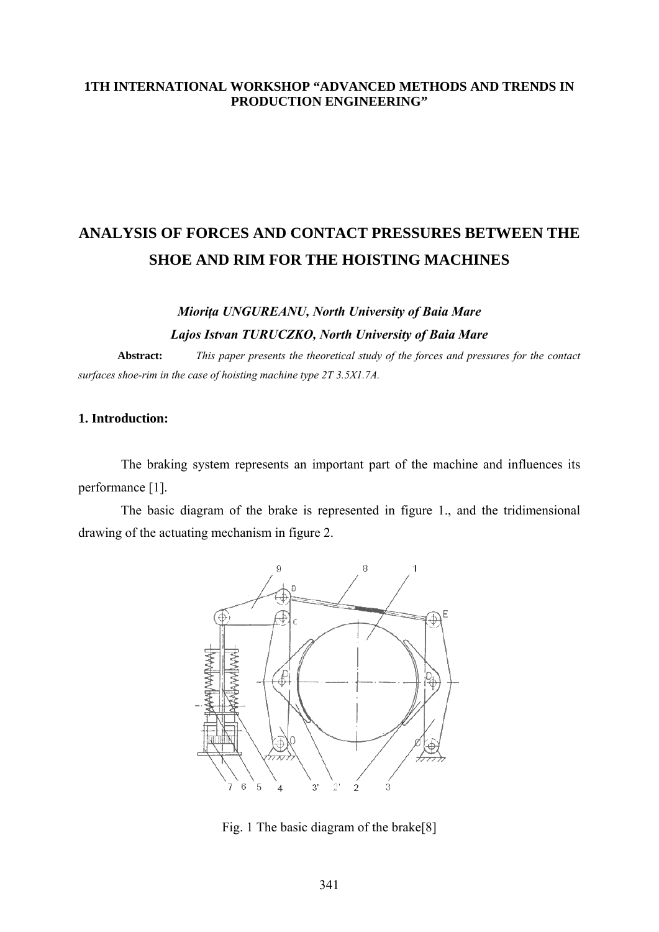### 1TH INTERNATIONAL WORKSHOP "ADVANCED METHODS AND TRENDS IN PRODUCTION ENGINEERING"

# ANALYSIS OF FORCES AND CONTACT PRESSURES BETWEEN THE **SHOE AND RIM FOR THE HOISTING MACHINES**

## Miorița UNGUREANU, North University of Baia Mare Lajos Istvan TURUCZKO, North University of Baia Mare

This paper presents the theoretical study of the forces and pressures for the contact Abstract: surfaces shoe-rim in the case of hoisting machine type 2T 3.5X1.7A.

## 1. Introduction:

The braking system represents an important part of the machine and influences its performance [1].

The basic diagram of the brake is represented in figure 1., and the tridimensional drawing of the actuating mechanism in figure 2.



Fig. 1 The basic diagram of the brake[8]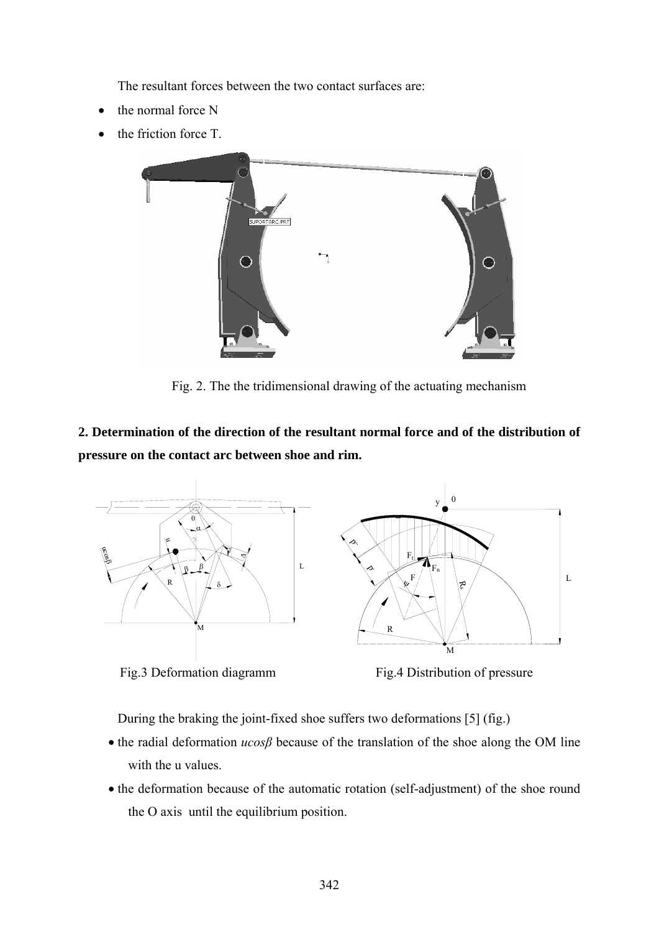The resultant forces between the two contact surfaces are:

- the normal force N
- the friction force T.



Fig. 2. The the tridimensional drawing of the actuating mechanism

**2. Determination of the direction of the resultant normal force and of the distribution of pressure on the contact arc between shoe and rim.**



Fig.3 Deformation diagramm

Fig.4 Distribution of pressure

During the braking the joint-fixed shoe suffers two deformations [5] (fig.)

- the radial deformation *ucosβ* because of the translation of the shoe along the OM line with the u values.
- the deformation because of the automatic rotation (self-adjustment) of the shoe round the O axis until the equilibrium position.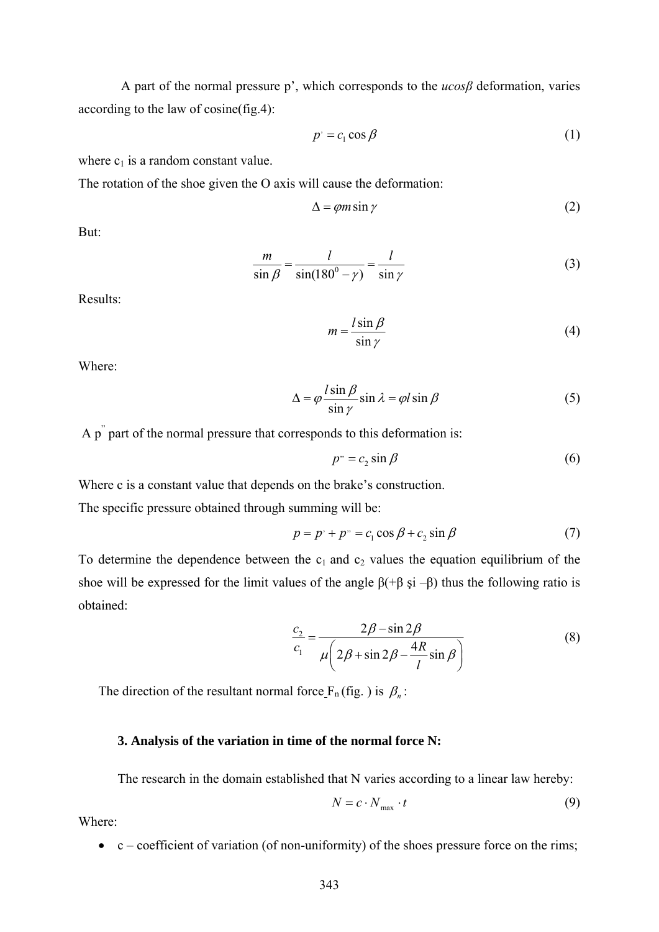A part of the normal pressure p', which corresponds to the *ucosβ* deformation, varies according to the law of cosine(fig.4):

$$
p' = c_1 \cos \beta \tag{1}
$$

where  $c_1$  is a random constant value.

The rotation of the shoe given the O axis will cause the deformation:

$$
\Delta = \varphi m \sin \gamma \tag{2}
$$

But:

$$
\frac{m}{\sin \beta} = \frac{l}{\sin(180^\circ - \gamma)} = \frac{l}{\sin \gamma}
$$
(3)

Results:

$$
m = \frac{l \sin \beta}{\sin \gamma} \tag{4}
$$

Where:

$$
\Delta = \varphi \frac{l \sin \beta}{\sin \gamma} \sin \lambda = \varphi l \sin \beta
$$
 (5)

A p" part of the normal pressure that corresponds to this deformation is:

$$
p^{\prime\prime} = c_2 \sin \beta \tag{6}
$$

Where c is a constant value that depends on the brake's construction.

The specific pressure obtained through summing will be:

$$
p = p' + p'' = c_1 \cos \beta + c_2 \sin \beta \tag{7}
$$

To determine the dependence between the  $c_1$  and  $c_2$  values the equation equilibrium of the shoe will be expressed for the limit values of the angle  $\beta(+\beta \text{ si } -\beta)$  thus the following ratio is obtained:

$$
\frac{c_2}{c_1} = \frac{2\beta - \sin 2\beta}{\mu \left(2\beta + \sin 2\beta - \frac{4R}{l}\sin \beta\right)}
$$
(8)

The direction of the resultant normal force  $F_n$  (fig. ) is  $\beta_n$ :

#### **3. Analysis of the variation in time of the normal force N:**

The research in the domain established that N varies according to a linear law hereby:

$$
N = c \cdot N_{\text{max}} \cdot t \tag{9}
$$

Where:

 $\bullet$  c – coefficient of variation (of non-uniformity) of the shoes pressure force on the rims;